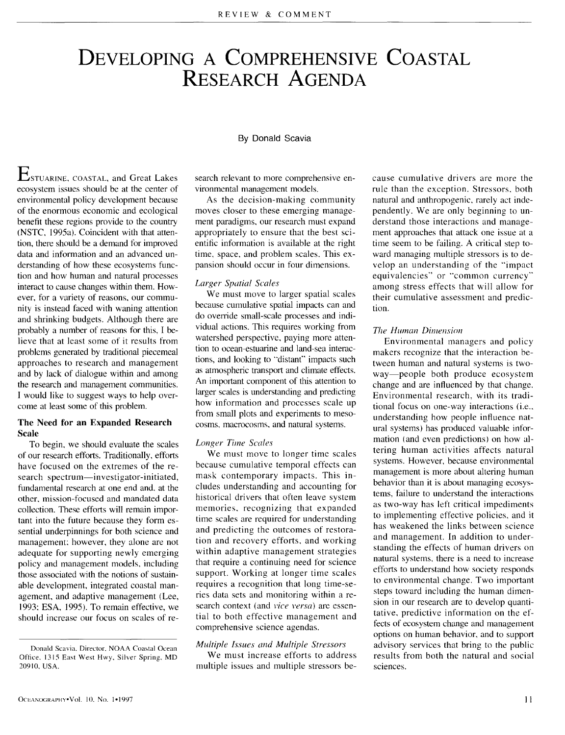# **DEVELOPING A COMPREHENSIVE COASTAL RESEARCH AGENDA**

#### By Donald Scavia

ESTUARINE, COASTAL, and Great Lakes ecosystem issues should be at the center of environmental policy development because of the enormous economic and ecological benefit these regions provide to the country (NSTC, 1995a). Coincident with that attention, there should be a demand for improved data and information and an advanced understanding of how these ecosystems function and how human and natural processes interact to cause changes within them. However, for a variety of reasons, our community is instead faced with waning attention and shrinking budgets. Although there are probably a number of reasons for this, I believe that at least some of it results from problems generated by traditional piecemeal approaches to research and management and by lack of dialogue within and among the research and management communities. I would like to suggest ways to help overcome at least some of this problem.

## **The Need for an Expanded Research Scale**

To begin, we should evaluate the scales of our research efforts. Traditionally, efforts have focused on the extremes of the research spectrum--investigator-initiated, fundamental research at one end and, at the other, mission-focused and mandated data collection. These efforts will remain important into the future because they form essential underpinnings for both science and management: however, they alone are not adequate for supporting newly emerging policy and management models, including those associated with the notions of sustainable development, integrated coastal management, and adaptive management (Lee, 1993: ESA, 1995). To remain effective, we should increase our focus on scales of research relevant to more comprehensive environmental management models.

As the decision-making community moves closer to these emerging management paradigms, our research must expand appropriately to ensure that the best scientific information is available at the right time, space, and problem scales. This expansion should occur in four dimensions.

## *Larger Spatial Scales*

We must move to larger spatial scales because cumulative spatial impacts can and do override small-scale processes and individual actions. This requires working from watershed perspective, paying more attention to ocean-estuarine and land-sea interactions, and looking to "distant" impacts such as atmospheric transport and climate effects. An important component of this attention to larger scales is understanding and predicting how information and processes scale up from small plots and experiments to mesocosms, macrocosms, and natural systems.

#### *Longer Time Scales*

We must move to longer time scales because cumulative temporal effects can mask contemporary impacts. This includes understanding and accounting for historical drivers that often leave system memories, recognizing that expanded time scales are required for understanding and predicting the outcomes of restoration and recovery efforts, and working within adaptive management strategies that require a continuing need for science support. Working at longer time scales requires a recognition that long time-series data sets and monitoring within a research context (and *vice versa)* are essential to both effective management and comprehensive science agendas.

#### *Multiple Ls'sues and Mtdtiple Stressors*

We must increase efforts to address multiple issues and multiple stressors because cumulative drivers are more the rule than the exception. Stressors, both natural and anthropogenic, rarely act independently. We are only beginning to understand those interactions and management approaches that attack one issue at a time seem to be failing. A critical step toward managing multiple stressors is to develop an understanding of the "'impact equivalencies" or "common currency" among stress effects that will allow for their cumulative assessment and prediction.

#### *The Human Dimension*

Environmental managers and policy makers recognize that the interaction between human and natural systems is twoway--people both produce ecosystem change and are influenced by that change. Environmental research, with its traditional focus on one-way interactions (i.e., understanding how people influence natural systems) has produced valuable information (and even predictions) on how altering human activities affects natural systems. However, because environmental management is more about altering human behavior than it is about managing ecosystems, failure to understand the interactions as two-way has left critical impediments to implementing effective policies, and it has weakened the links between science and management. In addition to understanding the effects of human drivers on natural systems, there is a need to increase efforts to understand how society responds to environmental change. Two important steps toward including the human dimension in our research are to develop quantitative, predictive information on the effects of ecosystem change and management options on human behavior, and to support advisory services that bring to the public results from both the natural and social sciences.

Donald Scavia, Director, NOAA Coastal Ocean Office, 1315 East West Hwy, Silver Spring, MD 20910, USA.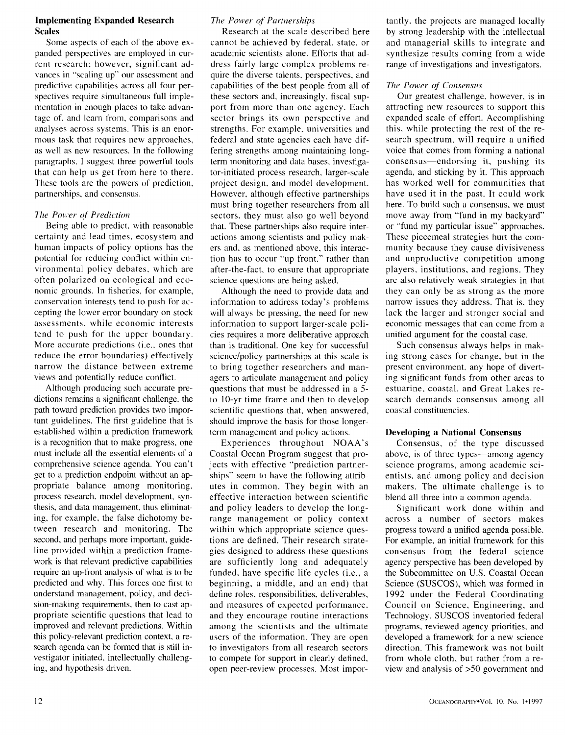# **Implementing Expanded Research Scales**

Some aspects of each of the above expanded perspectives are employed in current research: however, significant advances in "scaling up" our assessment and predictive capabilities across all four perspectives require simultaneous full implementation in enough places to take advantage of, and learn from, comparisons and analyses across systems. This is an enof mous task that requires new approaches, as well as new resources. In the following paragraphs, I suggest three powerful tools that can help us get from here to there. These tools are the powers of prediction, partnerships, and consensus.

# *The Power of Prediction*

Being able to predict, with reasonable certainty and lead times, ecosystem and human impacts of policy options has the potential for reducing conflict within environmental policy debates, which are often polarized on ecological and economic grounds. In fisheries, for example, conservation interests tend to push for accepting the lower error boundary on stock assessments, while economic interests tend to push for the upper boundary. More accurate predictions (i.e., ones that reduce the error boundaries) effectively narrow the distance between extreme views and potentially reduce conflict.

Although producing such accurate predictions remains a significant challenge, the path toward prediction provides two important guidelines. The first guideline that is established within a prediction framework is a recognition that to make progress, one must include all the essential elements of a comprehensive science agenda. You can't get to a prediction endpoint without an appropriate balance among monitoring, process research, model development, synthesis, and data management, thus eliminating, for example, the false dichotomy between research and monitoring. The second, and perhaps more important, guideline provided within a prediction framework is that relevant predictive capabilities require an up-front analysis of what is to be predicted and why, This forces one first to understand management, policy, and decision-making requirements, then to cast appropriate scientific questions that lead to improved and relevant predictions. Within this policy-relevant prediction context, a research agenda can be formed that is still investigator initiated, intellectually challenging, and hypothesis driven.

# *The Power of Partnerships*

Research at the scale described here cannot be achieved by federal, state, or academic scientists alone. Efforts that address fairly large complex problems require the diverse talents, perspectives, and capabilities of the best people from all of these sectors and, increasingly, fiscal support from more than one agency. Each sector brings its own perspective and strengths. For example, universities and federal and state agencies each have differing strengths among maintaining longterm monitoring and data bases, investigator-initiated process research, larger-scale project design, and model development. However, although effective partnerships must bring together researchers from all sectors, they must also go well beyond that. These partnerships also require interactions among scientists and policy makers and, as mentioned above, this interaction has to occur "up front," rather than after-the-fact, to ensure that appropriate science questions are being asked.

Although the need to provide data and information to address today's problems will always be pressing, the need for new information to support larger-scale policies requires a more deliberative approach than is traditional. One key for successful science/policy partnerships at this scale is to bring together researchers and managers to articulate management and policy questions that must be addressed in a 5 to 10-yr time frame and then to develop scientific questions that, when answered, should improve the basis for those longerterm management and policy actions.

Experiences throughout NOAA's Coastal Ocean Program suggest that projects with effective "'prediction partnerships" seem to have the following attributes in common. They begin with an effective interaction between scientific and policy leaders to develop the longrange management or policy context within which appropriate science questions are defined. Their research strategies designed to address these questions are sufficiently long and adequately funded, have specific life cycles (i.e., a beginning, a middle, and an end) that define roles, responsibilities, deliverables, and measures of expected performance, and they encourage routine interactions among the scientists and the ultimate users of the information. They are open to investigators from all research sectors to compete for support in clearly defined, open peer-review processes. Most importantly, the projects are managed locally by strong leadership with the intellectual and managerial skills to integrate and synthesize results coming from a wide range of investigations and investigators.

# *The Power of Consensus*

Our greatest challenge, however, is in attracting new resources to support this expanded scale of effort. Accomplishing this, while protecting the rest of the research spectrum, will require a unified voice that comes from forming a national consensus--endorsing it, pushing its agenda, and sticking by it. This approach has worked well for communities that have used it in the past. It could work here. To build such a consensus, we must move away from "fund in my backyard" or "fund my particular issue" approaches. These piecemeal strategies hurt the community because they cause divisiveness and unproductive competition among players, institutions, and regions. They are also relatively weak strategies in that they can only be as strong as the more narrow issues they address. That is, they lack the larger and stronger social and economic messages that can come from a unified argument for the coastal case.

Such consensus always helps in making strong cases for change, but in the present environment, any hope of diverting significant funds from other areas to estuarine, coastal, and Great Lakes research demands consensus among all coastal constituencies.

## **Developing a National Consensus**

Consensus, of the type discussed above, is of three types—among agency science programs, among academic scientists, and among policy and decision makers. The ultimate challenge is to blend all three into a common agenda.

Significant work done within and across a number of sectors makes progress toward a unified agenda possible. For example, an initial framework for this consensus from the federal science agency perspective has been developed by the Subcommittee on U.S. Coastal Ocean Science (SUSCOS), which was formed in 1992 under the Federal Coordinating Council on Science, Engineering, and Technology. SUSCOS inventoried federal programs, reviewed agency priorities, and developed a framework for a new science direction. This framework was not built from whole cloth, but rather from a review and analysis of >50 government and